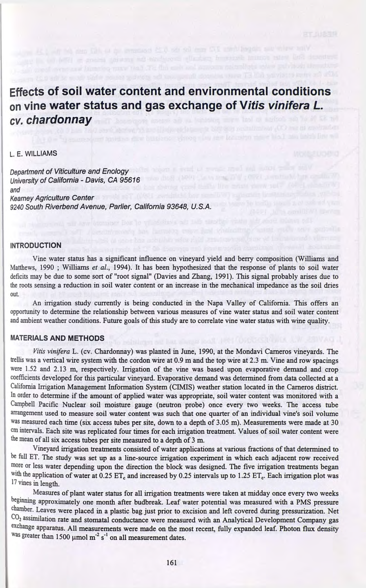# **Effects of soil water content and environmental conditions on vine water status and gas exchange of V/f/s** *vinifera L. cv. chardonnay*

# L. E. WILLIAMS

*Department of Viticulture and Enology*  is to reach of a concern sometime of the case *University of Califomia - Davis, CA 95616 and Keamey Agriculture Center 9240 South Riverbend Avenue, Parlier, Califomia 93648, U.S.A.* 

## **INTRODUCTION**

Vine water status has a significant influence on vineyard yield and berry composition (Williams and **Matthews, 1990 ; Williams** *et al.,* **1994). It bas been hypotbesized tbat tbe response of plants to soil water déficits may be due to some sort of "root signal" (Davies and Zbang, 1991). Tbis signal probably arises due to**  the roots sensing a reduction in soil water content or an increase in the mechanical impedance as the soil dries **out.** 

An irrigation study currently is being conducted in the Napa Valley of California. This offers an **opportunity to déterminé tbe relationsbip between varions measures of vine water status and soil water content and ambient weatber conditions. Future goals of tbis study are to correlate vine water status witb wine quality.** 

### **MATERIALS AND METHODS**

*Vitis vinifera* **L. (cv. Cbardonnay) was planted in June, 1990, at tbe Mondavi Cameros vineyards. Tbe trellis was a vertical wire system witb tbe cordon wire at 0.9 m and tbe top wire at 2.3 m. Vine and row spacings**  were 1.52 and 2.13 m, respectively. Irrigation of the vine was based upon evaporative demand and crop **coefficients developed for tbis particular vineyard. Evaporative demand was determined from data collected at a Califomia Irrigation Management Information System (CIMIS) weatber station located in tbe Cameros district.**  In order to determine if the amount of applied water was appropriate, soil water content was monitored with a **Campbell Pacific Nuclear soil moisture gauge (neutron probe) once every two weeks. The access tube anangement used to measure soil water content was sucb tbat one quarter of an individual vine's soil volume was measured eacb time (six access tubes per site, down to a deptb of 3.05 m). Measurements were made at 30 cm intervais. Eacb site was replicated four times for eacb irrigation treatment. Values of soil water content were the mean of ail six access tubes per site measured to a deptb of 3 m.** 

**Vineyard irrigation treatments consisted of water applications at various fractions of tbat determined to be fiiU ET. Tbe study was set up as a line-source irrigation experiment in wbicb eacb adjacent row received**  more or less water depending upon the direction the block was designed. The five irrigation treatments began with the application of water at 0.25 ET<sub>c</sub> and increased by 0.25 intervals up to 1.25 ET<sub>c</sub>. Each irrigation plot was **17 vines in lengtb.** 

**Measures of plant water status for ail irrigation treatments were taken at midday once every two weeks beginning approximately one montb after budbreak. Leaf water potential was measured witb a PMS pressure chamber. Leaves were placed in a plastic bag just prior to excision and left covered during pressurization. Net CO2 assimilation rate and stomatal conductance were measured witb an Analytical Development Company gas**  exchange apparatus. All measurements were made on the most recent, fully expanded leaf. Photon flux density <sup>was greater than 1500</sup> μmol m<sup>-2</sup> s<sup>-1</sup> on all measurement dates.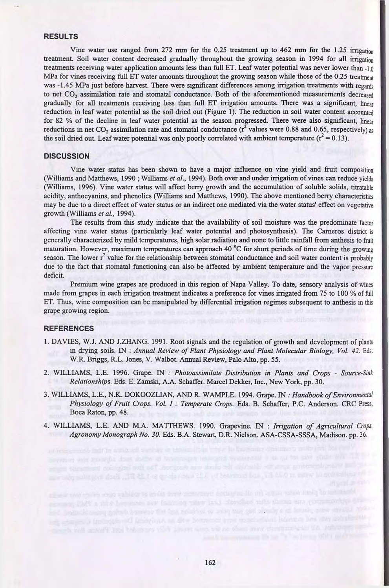### **RESULTS**

**Vine water use ranged from 272 mm for the 0.25 treatment up to 462 mm for the 1.25 irrigation treatment. Soil water content decreased gradually throughout the growing season in 1994 for ail irrigation treatments receiving water application amounts less than full ET. Leaf water potential was never lower than -1,0 MPa for vines receiving fiill ET water amounts throughout the growing season while those of the 0.25 treatment**  was -1.45 MPa just before harvest. There were significant differences among irrigation treatments with regards to net CO<sub>2</sub> assimilation rate and stomatal conductance. Both of the aforementioned measurements decreased **gradually for ail treatments receiving less than full ET irrigation amounts. There was a significant, linear**  reduction in leaf water potential as the soil dried out (Figure 1). The reduction in soil water content accounted for 82 % of the decline in leaf water potential as the season progressed. There were also significant, linear reductions in net CO<sub>2</sub> assimilation rate and stomatal conductance  $(r^2$  values were 0.88 and 0.65, respectively) as the soil dried out. Leaf water potential was only poorly correlated with ambient temperature  $(r^2 = 0.13)$ .

#### **DISCUSSION**

**Vine water status has been shown to have a major influence on vine yield and finit composition (Williams and Matthews, 1990 ; Williams** *et al.,* **1994). Both over and imder irrigation of vines can reduce yields (Williams, 1996). Vine water status will affect berry growth and the accumulation of soluble solids, titratable**  acidity, anthocyanins, and phenolics (Williams and Matthews, 1990). The above mentioned berry characteristics may be due to a direct effect of water status or an indirect one mediated via the water status' effect on vegetative **growfth (Williams** *et al,* **1994).** 

The results from this study indicate that the availability of soil moisture was the predominate factor **affecting vine water status (particularly leaf water potential and photosynthesis). The Cameros district is generally characterized by mild temperatures, high solar radiation and none to little rainfall from anthesis to fruit maturation. However, maximum temperatures can approach 40 "C for short periods of time during the growing**  season. The lower  $r^2$  value for the relationship between stomatal conductance and soil water content is probably **due to the fact that stomatal fimctioning can also be affected by ambient temperature and the vapor pressure déficit.** 

Premium wine grapes are produced in this region of Napa Valley. To date, sensory analysis of wines **made from grapes in each irrigation treatment indicates a preference for vines irrigated from 75 to 100 % of fiill ET. Thus, wine composition can be manipulated by differential irrigation regimes subséquent to anthesis in this grape growing région.** 

#### **REFERENCES**

- **1. DAVIES, W.J. AND J.ZHANG. 1991. Root signais and the régulation of growth and development of plants in drying soils. IN :** *Annual Review of Plant Physiology and Plant Molecular Biology, Vol. 42.* **Eds. W.R. Briggs, R.L. Jones, V. Walbot. Annual Review, Palo Alto, pp. 55.**
- 2. WILLIAMS, L.E. 1996. Grape. IN : Photoassimilate Distribution in Plants and Crops Source-Sink *Relationships.* **Eds. E. Zamski, A.A. Schaffer. Marcel Dekker, Inc., New York, pp. 30.**
- 3. WILLIAMS, L.E., N.K. DOKOOZLIAN, AND R. WAMPLE. 1994. Grape. IN : *Handbook of Environmental Physiology of Fruit Crops. Vol. I : Temperate Crops.* **Eds. B. Schaffer, P.C. Anderson. CRC Press, Boca Raton, pp. 48.**
- **4. WILLIAMS, L.E. AND M.A. MATTHEWS. 1990. Grapevine. IN :** *Irrigation of Agricultural Crops. Agronomy Monograph No. 30.* **Eds. B.A. Stewart, D.R. Nielson. ASA-CSSA-SSSA, Madison. pp. 36.**

the control is a president term of the books of the second and the product of the second second second second second